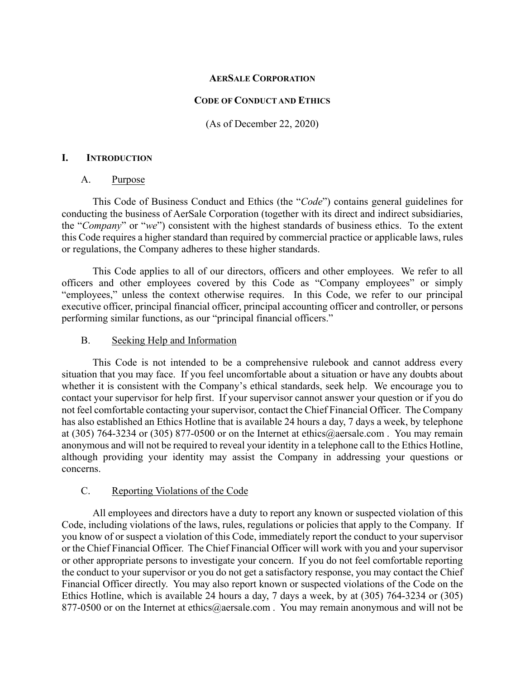## **AERSALE CORPORATION**

### **CODE OF CONDUCT AND ETHICS**

(As of December 22, 2020)

## **I. INTRODUCTION**

## A. Purpose

This Code of Business Conduct and Ethics (the "*Code*") contains general guidelines for conducting the business of AerSale Corporation (together with its direct and indirect subsidiaries, the "*Company*" or "*we*") consistent with the highest standards of business ethics. To the extent this Code requires a higher standard than required by commercial practice or applicable laws, rules or regulations, the Company adheres to these higher standards.

This Code applies to all of our directors, officers and other employees. We refer to all officers and other employees covered by this Code as "Company employees" or simply "employees," unless the context otherwise requires. In this Code, we refer to our principal executive officer, principal financial officer, principal accounting officer and controller, or persons performing similar functions, as our "principal financial officers."

## B. Seeking Help and Information

This Code is not intended to be a comprehensive rulebook and cannot address every situation that you may face. If you feel uncomfortable about a situation or have any doubts about whether it is consistent with the Company's ethical standards, seek help. We encourage you to contact your supervisor for help first. If your supervisor cannot answer your question or if you do not feel comfortable contacting your supervisor, contact the Chief Financial Officer. The Company has also established an Ethics Hotline that is available 24 hours a day, 7 days a week, by telephone at (305) 764-3234 or (305) 877-0500 or on the Internet at ethics@aersale.com. You may remain anonymous and will not be required to reveal your identity in a telephone call to the Ethics Hotline, although providing your identity may assist the Company in addressing your questions or concerns.

# C. Reporting Violations of the Code

All employees and directors have a duty to report any known or suspected violation of this Code, including violations of the laws, rules, regulations or policies that apply to the Company. If you know of or suspect a violation of this Code, immediately report the conduct to your supervisor or the Chief Financial Officer. The Chief Financial Officer will work with you and your supervisor or other appropriate persons to investigate your concern. If you do not feel comfortable reporting the conduct to your supervisor or you do not get a satisfactory response, you may contact the Chief Financial Officer directly. You may also report known or suspected violations of the Code on the Ethics Hotline, which is available 24 hours a day, 7 days a week, by at (305) 764-3234 or (305) 877-0500 or on the Internet at ethics@aersale.com. You may remain anonymous and will not be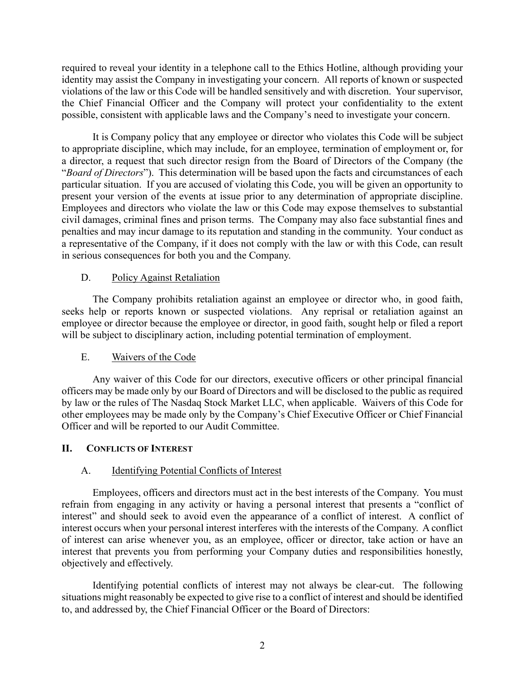required to reveal your identity in a telephone call to the Ethics Hotline, although providing your identity may assist the Company in investigating your concern.All reports of known or suspected violations of the law or this Code will be handled sensitively and with discretion. Your supervisor, the Chief Financial Officer and the Company will protect your confidentiality to the extent possible, consistent with applicable laws and the Company's need to investigate your concern.

It is Company policy that any employee or director who violates this Code will be subject to appropriate discipline, which may include, for an employee, termination of employment or, for a director, a request that such director resign from the Board of Directors of the Company (the "*Board of Directors*"). This determination will be based upon the facts and circumstances of each particular situation. If you are accused of violating this Code, you will be given an opportunity to present your version of the events at issue prior to any determination of appropriate discipline. Employees and directors who violate the law or this Code may expose themselves to substantial civil damages, criminal fines and prison terms. The Company may also face substantial fines and penalties and may incur damage to its reputation and standing in the community. Your conduct as a representative of the Company, if it does not comply with the law or with this Code, can result in serious consequences for both you and the Company.

# D. Policy Against Retaliation

The Company prohibits retaliation against an employee or director who, in good faith, seeks help or reports known or suspected violations. Any reprisal or retaliation against an employee or director because the employee or director, in good faith, sought help or filed a report will be subject to disciplinary action, including potential termination of employment.

# E. Waivers of the Code

Any waiver of this Code for our directors, executive officers or other principal financial officers may be made only by our Board of Directors and will be disclosed to the public as required by law or the rules of The Nasdaq Stock Market LLC, when applicable. Waivers of this Code for other employees may be made only by the Company's Chief Executive Officer or Chief Financial Officer and will be reported to our Audit Committee.

# **II. CONFLICTS OF INTEREST**

# A. Identifying Potential Conflicts of Interest

Employees, officers and directors must act in the best interests of the Company. You must refrain from engaging in any activity or having a personal interest that presents a "conflict of interest" and should seek to avoid even the appearance of a conflict of interest. A conflict of interest occurs when your personal interest interferes with the interests of the Company. A conflict of interest can arise whenever you, as an employee, officer or director, take action or have an interest that prevents you from performing your Company duties and responsibilities honestly, objectively and effectively.

Identifying potential conflicts of interest may not always be clear-cut. The following situations might reasonably be expected to give rise to a conflict of interest and should be identified to, and addressed by, the Chief Financial Officer or the Board of Directors: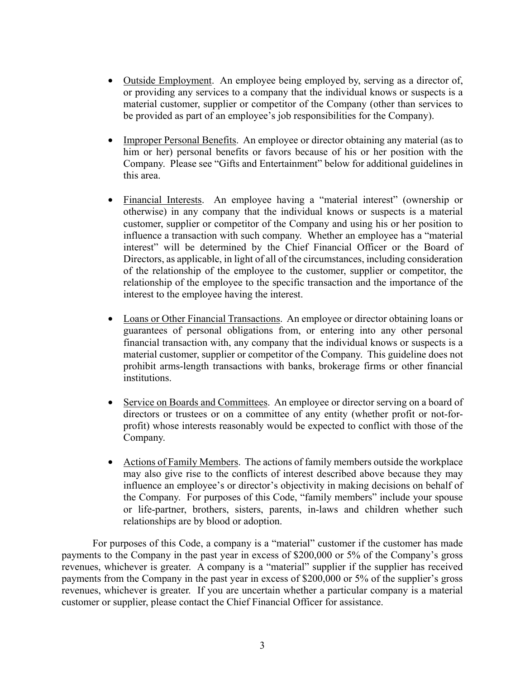- Outside Employment. An employee being employed by, serving as a director of, or providing any services to a company that the individual knows or suspects is a material customer, supplier or competitor of the Company (other than services to be provided as part of an employee's job responsibilities for the Company).
- Improper Personal Benefits. An employee or director obtaining any material (as to him or her) personal benefits or favors because of his or her position with the Company. Please see "Gifts and Entertainment" below for additional guidelines in this area.
- Financial Interests. An employee having a "material interest" (ownership or otherwise) in any company that the individual knows or suspects is a material customer, supplier or competitor of the Company and using his or her position to influence a transaction with such company. Whether an employee has a "material interest" will be determined by the Chief Financial Officer or the Board of Directors, as applicable, in light of all of the circumstances, including consideration of the relationship of the employee to the customer, supplier or competitor, the relationship of the employee to the specific transaction and the importance of the interest to the employee having the interest.
- Loans or Other Financial Transactions. An employee or director obtaining loans or guarantees of personal obligations from, or entering into any other personal financial transaction with, any company that the individual knows or suspects is a material customer, supplier or competitor of the Company. This guideline does not prohibit arms-length transactions with banks, brokerage firms or other financial institutions.
- Service on Boards and Committees. An employee or director serving on a board of directors or trustees or on a committee of any entity (whether profit or not-forprofit) whose interests reasonably would be expected to conflict with those of the Company.
- Actions of Family Members. The actions of family members outside the workplace may also give rise to the conflicts of interest described above because they may influence an employee's or director's objectivity in making decisions on behalf of the Company. For purposes of this Code, "family members" include your spouse or life-partner, brothers, sisters, parents, in-laws and children whether such relationships are by blood or adoption.

For purposes of this Code, a company is a "material" customer if the customer has made payments to the Company in the past year in excess of \$200,000 or 5% of the Company's gross revenues, whichever is greater. A company is a "material" supplier if the supplier has received payments from the Company in the past year in excess of \$200,000 or 5% of the supplier's gross revenues, whichever is greater. If you are uncertain whether a particular company is a material customer or supplier, please contact the Chief Financial Officer for assistance.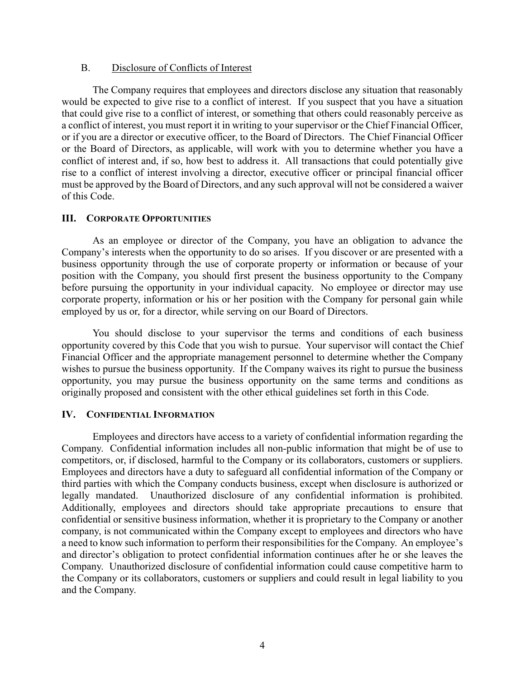### B. Disclosure of Conflicts of Interest

The Company requires that employees and directors disclose any situation that reasonably would be expected to give rise to a conflict of interest. If you suspect that you have a situation that could give rise to a conflict of interest, or something that others could reasonably perceive as a conflict of interest, you must report it in writing to your supervisor or the Chief Financial Officer, or if you are a director or executive officer, to the Board of Directors. The Chief Financial Officer or the Board of Directors, as applicable, will work with you to determine whether you have a conflict of interest and, if so, how best to address it. All transactions that could potentially give rise to a conflict of interest involving a director, executive officer or principal financial officer must be approved by the Board of Directors, and any such approval will not be considered a waiver of this Code.

# **III. CORPORATE OPPORTUNITIES**

As an employee or director of the Company, you have an obligation to advance the Company's interests when the opportunity to do so arises. If you discover or are presented with a business opportunity through the use of corporate property or information or because of your position with the Company, you should first present the business opportunity to the Company before pursuing the opportunity in your individual capacity. No employee or director may use corporate property, information or his or her position with the Company for personal gain while employed by us or, for a director, while serving on our Board of Directors.

You should disclose to your supervisor the terms and conditions of each business opportunity covered by this Code that you wish to pursue. Your supervisor will contact the Chief Financial Officer and the appropriate management personnel to determine whether the Company wishes to pursue the business opportunity. If the Company waives its right to pursue the business opportunity, you may pursue the business opportunity on the same terms and conditions as originally proposed and consistent with the other ethical guidelines set forth in this Code.

# **IV. CONFIDENTIAL INFORMATION**

Employees and directors have access to a variety of confidential information regarding the Company. Confidential information includes all non-public information that might be of use to competitors, or, if disclosed, harmful to the Company or its collaborators, customers or suppliers. Employees and directors have a duty to safeguard all confidential information of the Company or third parties with which the Company conducts business, except when disclosure is authorized or legally mandated. Unauthorized disclosure of any confidential information is prohibited. Additionally, employees and directors should take appropriate precautions to ensure that confidential or sensitive business information, whether it is proprietary to the Company or another company, is not communicated within the Company except to employees and directors who have a need to know such information to perform their responsibilities for the Company. An employee's and director's obligation to protect confidential information continues after he or she leaves the Company. Unauthorized disclosure of confidential information could cause competitive harm to the Company or its collaborators, customers or suppliers and could result in legal liability to you and the Company.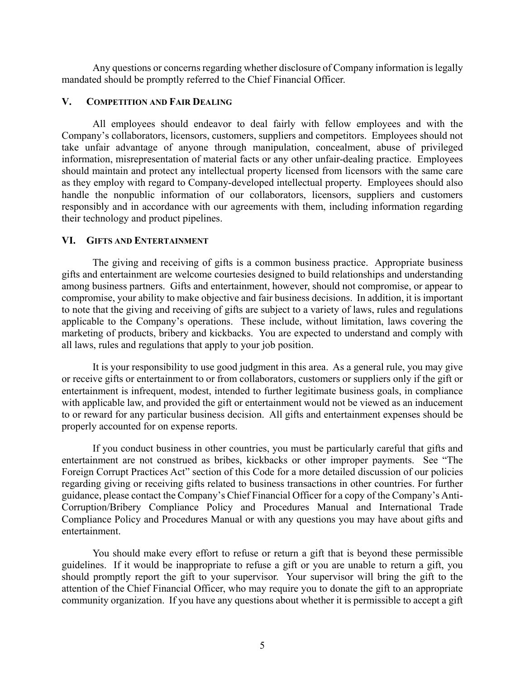Any questions or concerns regarding whether disclosure of Company information is legally mandated should be promptly referred to the Chief Financial Officer.

### **V. COMPETITION AND FAIR DEALING**

All employees should endeavor to deal fairly with fellow employees and with the Company's collaborators, licensors, customers, suppliers and competitors. Employees should not take unfair advantage of anyone through manipulation, concealment, abuse of privileged information, misrepresentation of material facts or any other unfair-dealing practice. Employees should maintain and protect any intellectual property licensed from licensors with the same care as they employ with regard to Company-developed intellectual property. Employees should also handle the nonpublic information of our collaborators, licensors, suppliers and customers responsibly and in accordance with our agreements with them, including information regarding their technology and product pipelines.

### **VI. GIFTS AND ENTERTAINMENT**

The giving and receiving of gifts is a common business practice. Appropriate business gifts and entertainment are welcome courtesies designed to build relationships and understanding among business partners. Gifts and entertainment, however, should not compromise, or appear to compromise, your ability to make objective and fair business decisions. In addition, it is important to note that the giving and receiving of gifts are subject to a variety of laws, rules and regulations applicable to the Company's operations. These include, without limitation, laws covering the marketing of products, bribery and kickbacks. You are expected to understand and comply with all laws, rules and regulations that apply to your job position.

It is your responsibility to use good judgment in this area. As a general rule, you may give or receive gifts or entertainment to or from collaborators, customers or suppliers only if the gift or entertainment is infrequent, modest, intended to further legitimate business goals, in compliance with applicable law, and provided the gift or entertainment would not be viewed as an inducement to or reward for any particular business decision. All gifts and entertainment expenses should be properly accounted for on expense reports.

If you conduct business in other countries, you must be particularly careful that gifts and entertainment are not construed as bribes, kickbacks or other improper payments. See "The Foreign Corrupt Practices Act" section of this Code for a more detailed discussion of our policies regarding giving or receiving gifts related to business transactions in other countries. For further guidance, please contact the Company's Chief Financial Officer for a copy of the Company's Anti-Corruption/Bribery Compliance Policy and Procedures Manual and International Trade Compliance Policy and Procedures Manual or with any questions you may have about gifts and entertainment.

You should make every effort to refuse or return a gift that is beyond these permissible guidelines. If it would be inappropriate to refuse a gift or you are unable to return a gift, you should promptly report the gift to your supervisor. Your supervisor will bring the gift to the attention of the Chief Financial Officer, who may require you to donate the gift to an appropriate community organization. If you have any questions about whether it is permissible to accept a gift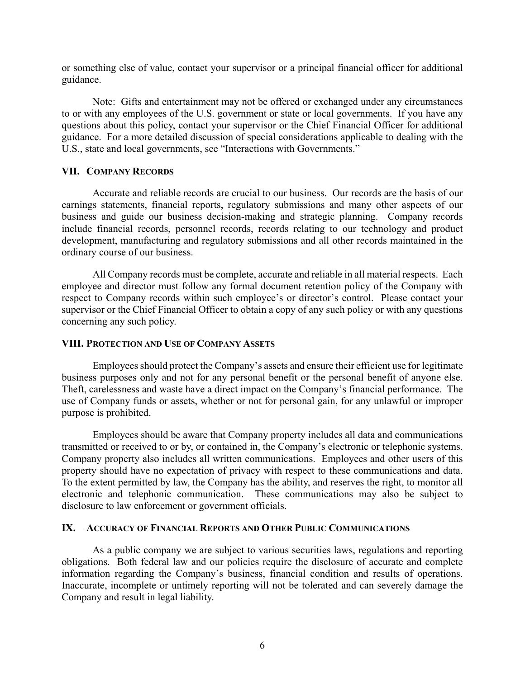or something else of value, contact your supervisor or a principal financial officer for additional guidance.

Note: Gifts and entertainment may not be offered or exchanged under any circumstances to or with any employees of the U.S. government or state or local governments. If you have any questions about this policy, contact your supervisor or the Chief Financial Officer for additional guidance. For a more detailed discussion of special considerations applicable to dealing with the U.S., state and local governments, see "Interactions with Governments."

### **VII. COMPANY RECORDS**

Accurate and reliable records are crucial to our business. Our records are the basis of our earnings statements, financial reports, regulatory submissions and many other aspects of our business and guide our business decision-making and strategic planning. Company records include financial records, personnel records, records relating to our technology and product development, manufacturing and regulatory submissions and all other records maintained in the ordinary course of our business.

All Company records must be complete, accurate and reliable in all material respects. Each employee and director must follow any formal document retention policy of the Company with respect to Company records within such employee's or director's control. Please contact your supervisor or the Chief Financial Officer to obtain a copy of any such policy or with any questions concerning any such policy.

#### **VIII. PROTECTION AND USE OF COMPANY ASSETS**

Employees should protect the Company's assets and ensure their efficient use for legitimate business purposes only and not for any personal benefit or the personal benefit of anyone else. Theft, carelessness and waste have a direct impact on the Company's financial performance. The use of Company funds or assets, whether or not for personal gain, for any unlawful or improper purpose is prohibited.

Employees should be aware that Company property includes all data and communications transmitted or received to or by, or contained in, the Company's electronic or telephonic systems. Company property also includes all written communications. Employees and other users of this property should have no expectation of privacy with respect to these communications and data. To the extent permitted by law, the Company has the ability, and reserves the right, to monitor all electronic and telephonic communication. These communications may also be subject to disclosure to law enforcement or government officials.

### **IX. ACCURACY OF FINANCIAL REPORTS AND OTHER PUBLIC COMMUNICATIONS**

As a public company we are subject to various securities laws, regulations and reporting obligations. Both federal law and our policies require the disclosure of accurate and complete information regarding the Company's business, financial condition and results of operations. Inaccurate, incomplete or untimely reporting will not be tolerated and can severely damage the Company and result in legal liability.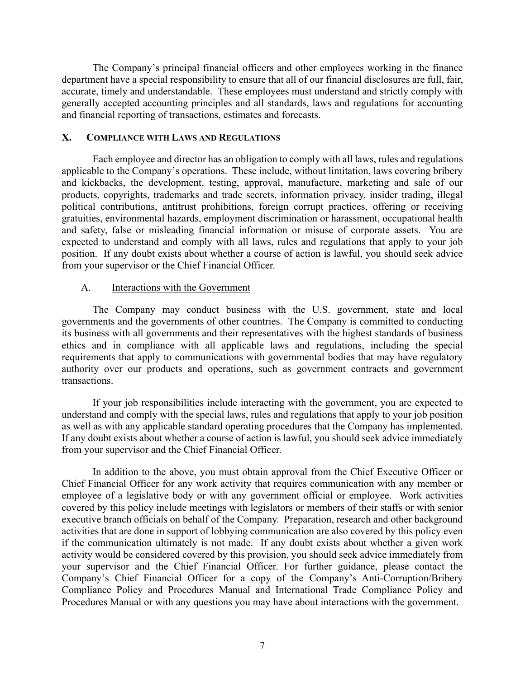The Company's principal financial officers and other employees working in the finance department have a special responsibility to ensure that all of our financial disclosures are full, fair, accurate, timely and understandable. These employees must understand and strictly comply with generally accepted accounting principles and all standards, laws and regulations for accounting and financial reporting of transactions, estimates and forecasts.

### **X. COMPLIANCE WITH LAWS AND REGULATIONS**

Each employee and director has an obligation to comply with all laws, rules and regulations applicable to the Company's operations. These include, without limitation, laws covering bribery and kickbacks, the development, testing, approval, manufacture, marketing and sale of our products, copyrights, trademarks and trade secrets, information privacy, insider trading, illegal political contributions, antitrust prohibitions, foreign corrupt practices, offering or receiving gratuities, environmental hazards, employment discrimination or harassment, occupational health and safety, false or misleading financial information or misuse of corporate assets. You are expected to understand and comply with all laws, rules and regulations that apply to your job position. If any doubt exists about whether a course of action is lawful, you should seek advice from your supervisor or the Chief Financial Officer.

# A. Interactions with the Government

The Company may conduct business with the U.S. government, state and local governments and the governments of other countries. The Company is committed to conducting its business with all governments and their representatives with the highest standards of business ethics and in compliance with all applicable laws and regulations, including the special requirements that apply to communications with governmental bodies that may have regulatory authority over our products and operations, such as government contracts and government transactions.

If your job responsibilities include interacting with the government, you are expected to understand and comply with the special laws, rules and regulations that apply to your job position as well as with any applicable standard operating procedures that the Company has implemented. If any doubt exists about whether a course of action is lawful, you should seek advice immediately from your supervisor and the Chief Financial Officer.

In addition to the above, you must obtain approval from the Chief Executive Officer or Chief Financial Officer for any work activity that requires communication with any member or employee of a legislative body or with any government official or employee. Work activities covered by this policy include meetings with legislators or members of their staffs or with senior executive branch officials on behalf of the Company. Preparation, research and other background activities that are done in support of lobbying communication are also covered by this policy even if the communication ultimately is not made. If any doubt exists about whether a given work activity would be considered covered by this provision, you should seek advice immediately from your supervisor and the Chief Financial Officer. For further guidance, please contact the Company's Chief Financial Officer for a copy of the Company's Anti-Corruption/Bribery Compliance Policy and Procedures Manual and International Trade Compliance Policy and Procedures Manual or with any questions you may have about interactions with the government.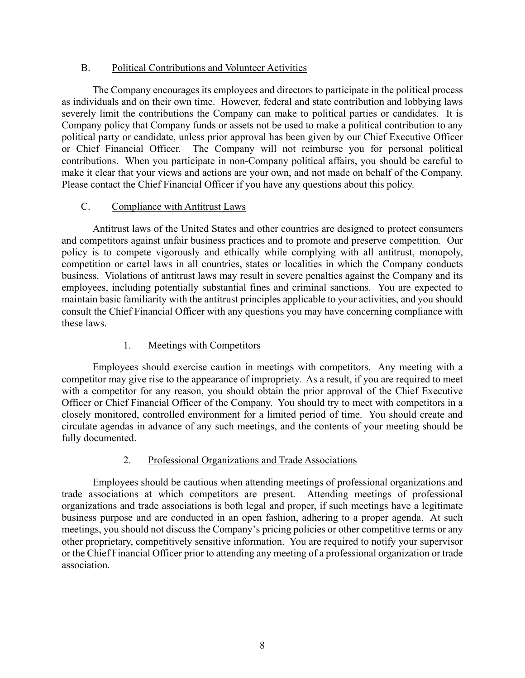# B. Political Contributions and Volunteer Activities

The Company encourages its employees and directors to participate in the political process as individuals and on their own time. However, federal and state contribution and lobbying laws severely limit the contributions the Company can make to political parties or candidates. It is Company policy that Company funds or assets not be used to make a political contribution to any political party or candidate, unless prior approval has been given by our Chief Executive Officer or Chief Financial Officer. The Company will not reimburse you for personal political contributions. When you participate in non-Company political affairs, you should be careful to make it clear that your views and actions are your own, and not made on behalf of the Company. Please contact the Chief Financial Officer if you have any questions about this policy.

# C. Compliance with Antitrust Laws

Antitrust laws of the United States and other countries are designed to protect consumers and competitors against unfair business practices and to promote and preserve competition. Our policy is to compete vigorously and ethically while complying with all antitrust, monopoly, competition or cartel laws in all countries, states or localities in which the Company conducts business. Violations of antitrust laws may result in severe penalties against the Company and its employees, including potentially substantial fines and criminal sanctions. You are expected to maintain basic familiarity with the antitrust principles applicable to your activities, and you should consult the Chief Financial Officer with any questions you may have concerning compliance with these laws.

# 1. Meetings with Competitors

Employees should exercise caution in meetings with competitors. Any meeting with a competitor may give rise to the appearance of impropriety. As a result, if you are required to meet with a competitor for any reason, you should obtain the prior approval of the Chief Executive Officer or Chief Financial Officer of the Company. You should try to meet with competitors in a closely monitored, controlled environment for a limited period of time. You should create and circulate agendas in advance of any such meetings, and the contents of your meeting should be fully documented.

# 2. Professional Organizations and Trade Associations

Employees should be cautious when attending meetings of professional organizations and trade associations at which competitors are present. Attending meetings of professional organizations and trade associations is both legal and proper, if such meetings have a legitimate business purpose and are conducted in an open fashion, adhering to a proper agenda. At such meetings, you should not discuss the Company's pricing policies or other competitive terms or any other proprietary, competitively sensitive information. You are required to notify your supervisor or the Chief Financial Officer prior to attending any meeting of a professional organization or trade association.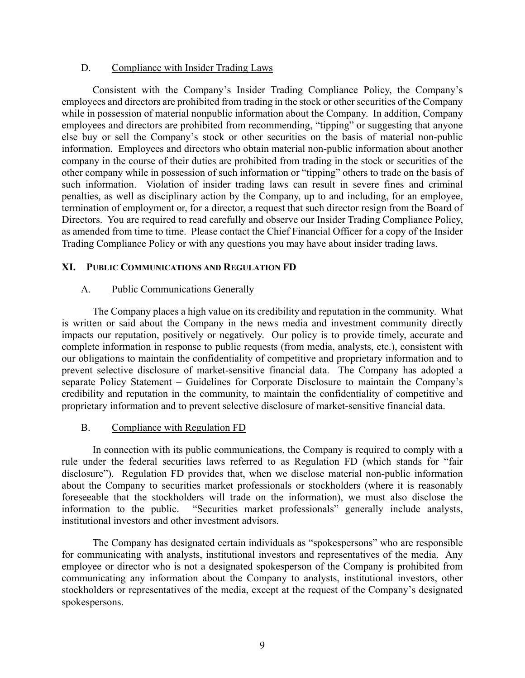## D. Compliance with Insider Trading Laws

Consistent with the Company's Insider Trading Compliance Policy, the Company's employees and directors are prohibited from trading in the stock or other securities of the Company while in possession of material nonpublic information about the Company. In addition, Company employees and directors are prohibited from recommending, "tipping" or suggesting that anyone else buy or sell the Company's stock or other securities on the basis of material non-public information. Employees and directors who obtain material non-public information about another company in the course of their duties are prohibited from trading in the stock or securities of the other company while in possession of such information or "tipping" others to trade on the basis of such information. Violation of insider trading laws can result in severe fines and criminal penalties, as well as disciplinary action by the Company, up to and including, for an employee, termination of employment or, for a director, a request that such director resign from the Board of Directors. You are required to read carefully and observe our Insider Trading Compliance Policy, as amended from time to time. Please contact the Chief Financial Officer for a copy of the Insider Trading Compliance Policy or with any questions you may have about insider trading laws.

# **XI. PUBLIC COMMUNICATIONS AND REGULATION FD**

# A. Public Communications Generally

The Company places a high value on its credibility and reputation in the community. What is written or said about the Company in the news media and investment community directly impacts our reputation, positively or negatively. Our policy is to provide timely, accurate and complete information in response to public requests (from media, analysts, etc.), consistent with our obligations to maintain the confidentiality of competitive and proprietary information and to prevent selective disclosure of market-sensitive financial data. The Company has adopted a separate Policy Statement – Guidelines for Corporate Disclosure to maintain the Company's credibility and reputation in the community, to maintain the confidentiality of competitive and proprietary information and to prevent selective disclosure of market-sensitive financial data.

# B. Compliance with Regulation FD

In connection with its public communications, the Company is required to comply with a rule under the federal securities laws referred to as Regulation FD (which stands for "fair disclosure"). Regulation FD provides that, when we disclose material non-public information about the Company to securities market professionals or stockholders (where it is reasonably foreseeable that the stockholders will trade on the information), we must also disclose the information to the public. "Securities market professionals" generally include analysts, institutional investors and other investment advisors.

The Company has designated certain individuals as "spokespersons" who are responsible for communicating with analysts, institutional investors and representatives of the media. Any employee or director who is not a designated spokesperson of the Company is prohibited from communicating any information about the Company to analysts, institutional investors, other stockholders or representatives of the media, except at the request of the Company's designated spokespersons.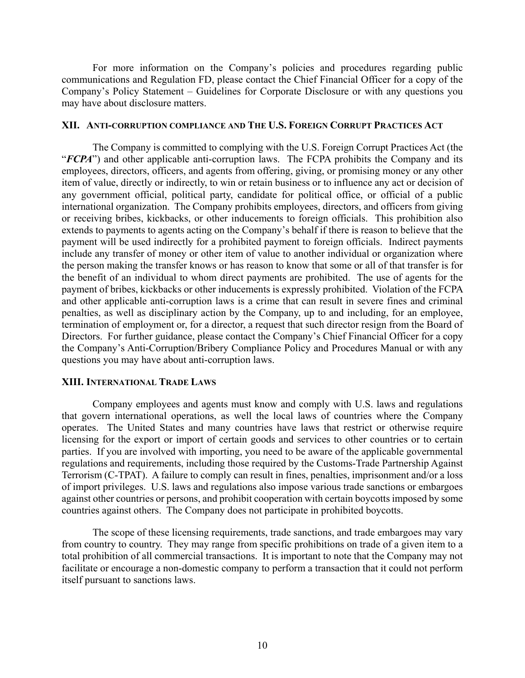For more information on the Company's policies and procedures regarding public communications and Regulation FD, please contact the Chief Financial Officer for a copy of the Company's Policy Statement – Guidelines for Corporate Disclosure or with any questions you may have about disclosure matters.

### **XII. ANTI-CORRUPTION COMPLIANCE AND THE U.S. FOREIGN CORRUPT PRACTICES ACT**

The Company is committed to complying with the U.S. Foreign Corrupt Practices Act (the "*FCPA*") and other applicable anti-corruption laws. The FCPA prohibits the Company and its employees, directors, officers, and agents from offering, giving, or promising money or any other item of value, directly or indirectly, to win or retain business or to influence any act or decision of any government official, political party, candidate for political office, or official of a public international organization. The Company prohibits employees, directors, and officers from giving or receiving bribes, kickbacks, or other inducements to foreign officials. This prohibition also extends to payments to agents acting on the Company's behalf if there is reason to believe that the payment will be used indirectly for a prohibited payment to foreign officials. Indirect payments include any transfer of money or other item of value to another individual or organization where the person making the transfer knows or has reason to know that some or all of that transfer is for the benefit of an individual to whom direct payments are prohibited. The use of agents for the payment of bribes, kickbacks or other inducements is expressly prohibited. Violation of the FCPA and other applicable anti-corruption laws is a crime that can result in severe fines and criminal penalties, as well as disciplinary action by the Company, up to and including, for an employee, termination of employment or, for a director, a request that such director resign from the Board of Directors. For further guidance, please contact the Company's Chief Financial Officer for a copy the Company's Anti-Corruption/Bribery Compliance Policy and Procedures Manual or with any questions you may have about anti-corruption laws.

### **XIII. INTERNATIONAL TRADE LAWS**

Company employees and agents must know and comply with U.S. laws and regulations that govern international operations, as well the local laws of countries where the Company operates. The United States and many countries have laws that restrict or otherwise require licensing for the export or import of certain goods and services to other countries or to certain parties. If you are involved with importing, you need to be aware of the applicable governmental regulations and requirements, including those required by the Customs-Trade Partnership Against Terrorism (C-TPAT). A failure to comply can result in fines, penalties, imprisonment and/or a loss of import privileges. U.S. laws and regulations also impose various trade sanctions or embargoes against other countries or persons, and prohibit cooperation with certain boycotts imposed by some countries against others. The Company does not participate in prohibited boycotts.

The scope of these licensing requirements, trade sanctions, and trade embargoes may vary from country to country. They may range from specific prohibitions on trade of a given item to a total prohibition of all commercial transactions. It is important to note that the Company may not facilitate or encourage a non-domestic company to perform a transaction that it could not perform itself pursuant to sanctions laws.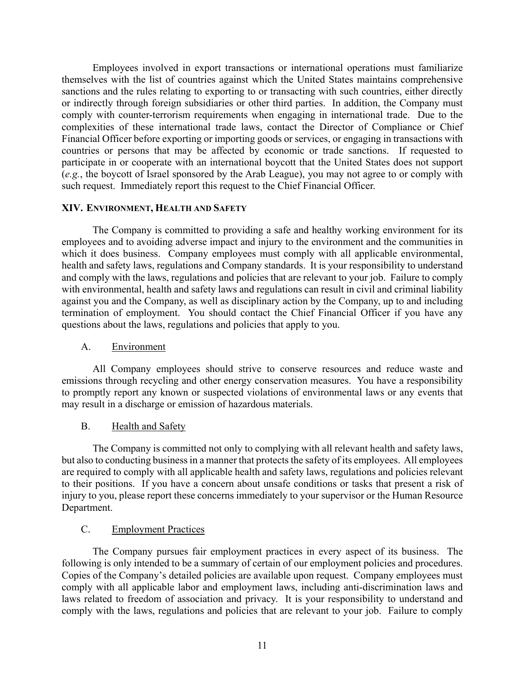Employees involved in export transactions or international operations must familiarize themselves with the list of countries against which the United States maintains comprehensive sanctions and the rules relating to exporting to or transacting with such countries, either directly or indirectly through foreign subsidiaries or other third parties. In addition, the Company must comply with counter-terrorism requirements when engaging in international trade. Due to the complexities of these international trade laws, contact the Director of Compliance or Chief Financial Officer before exporting or importing goods or services, or engaging in transactions with countries or persons that may be affected by economic or trade sanctions. If requested to participate in or cooperate with an international boycott that the United States does not support (*e.g.*, the boycott of Israel sponsored by the Arab League), you may not agree to or comply with such request. Immediately report this request to the Chief Financial Officer.

# **XIV. ENVIRONMENT, HEALTH AND SAFETY**

The Company is committed to providing a safe and healthy working environment for its employees and to avoiding adverse impact and injury to the environment and the communities in which it does business. Company employees must comply with all applicable environmental, health and safety laws, regulations and Company standards. It is your responsibility to understand and comply with the laws, regulations and policies that are relevant to your job. Failure to comply with environmental, health and safety laws and regulations can result in civil and criminal liability against you and the Company, as well as disciplinary action by the Company, up to and including termination of employment. You should contact the Chief Financial Officer if you have any questions about the laws, regulations and policies that apply to you.

# A. Environment

All Company employees should strive to conserve resources and reduce waste and emissions through recycling and other energy conservation measures. You have a responsibility to promptly report any known or suspected violations of environmental laws or any events that may result in a discharge or emission of hazardous materials.

# B. Health and Safety

The Company is committed not only to complying with all relevant health and safety laws, but also to conducting business in a manner that protects the safety of its employees. All employees are required to comply with all applicable health and safety laws, regulations and policies relevant to their positions. If you have a concern about unsafe conditions or tasks that present a risk of injury to you, please report these concerns immediately to your supervisor or the Human Resource Department.

# C. Employment Practices

The Company pursues fair employment practices in every aspect of its business. The following is only intended to be a summary of certain of our employment policies and procedures. Copies of the Company's detailed policies are available upon request. Company employees must comply with all applicable labor and employment laws, including anti-discrimination laws and laws related to freedom of association and privacy. It is your responsibility to understand and comply with the laws, regulations and policies that are relevant to your job. Failure to comply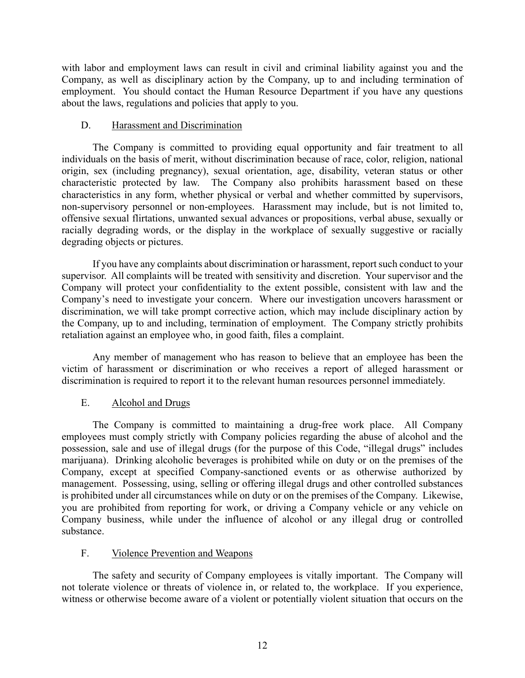with labor and employment laws can result in civil and criminal liability against you and the Company, as well as disciplinary action by the Company, up to and including termination of employment. You should contact the Human Resource Department if you have any questions about the laws, regulations and policies that apply to you.

# D. Harassment and Discrimination

The Company is committed to providing equal opportunity and fair treatment to all individuals on the basis of merit, without discrimination because of race, color, religion, national origin, sex (including pregnancy), sexual orientation, age, disability, veteran status or other characteristic protected by law. The Company also prohibits harassment based on these characteristics in any form, whether physical or verbal and whether committed by supervisors, non-supervisory personnel or non-employees. Harassment may include, but is not limited to, offensive sexual flirtations, unwanted sexual advances or propositions, verbal abuse, sexually or racially degrading words, or the display in the workplace of sexually suggestive or racially degrading objects or pictures.

If you have any complaints about discrimination or harassment, report such conduct to your supervisor. All complaints will be treated with sensitivity and discretion. Your supervisor and the Company will protect your confidentiality to the extent possible, consistent with law and the Company's need to investigate your concern. Where our investigation uncovers harassment or discrimination, we will take prompt corrective action, which may include disciplinary action by the Company, up to and including, termination of employment. The Company strictly prohibits retaliation against an employee who, in good faith, files a complaint.

Any member of management who has reason to believe that an employee has been the victim of harassment or discrimination or who receives a report of alleged harassment or discrimination is required to report it to the relevant human resources personnel immediately.

# E. Alcohol and Drugs

The Company is committed to maintaining a drug-free work place. All Company employees must comply strictly with Company policies regarding the abuse of alcohol and the possession, sale and use of illegal drugs (for the purpose of this Code, "illegal drugs" includes marijuana). Drinking alcoholic beverages is prohibited while on duty or on the premises of the Company, except at specified Company-sanctioned events or as otherwise authorized by management. Possessing, using, selling or offering illegal drugs and other controlled substances is prohibited under all circumstances while on duty or on the premises of the Company. Likewise, you are prohibited from reporting for work, or driving a Company vehicle or any vehicle on Company business, while under the influence of alcohol or any illegal drug or controlled substance.

# F. Violence Prevention and Weapons

The safety and security of Company employees is vitally important. The Company will not tolerate violence or threats of violence in, or related to, the workplace. If you experience, witness or otherwise become aware of a violent or potentially violent situation that occurs on the